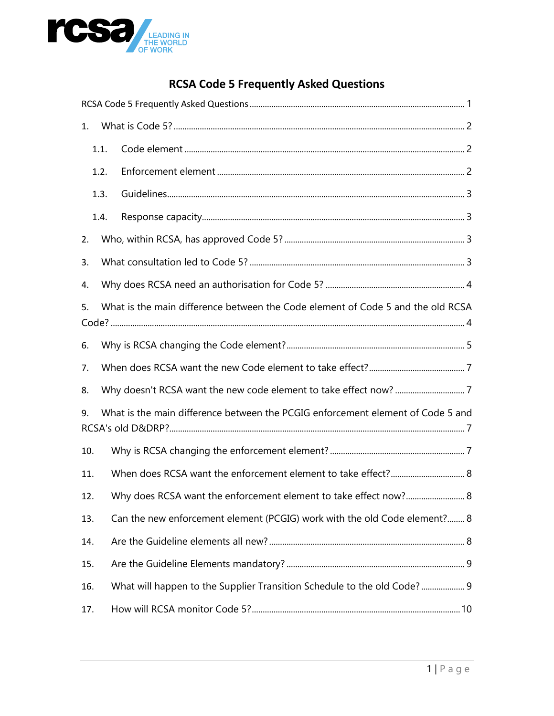

#### **RCSA Code 5 Frequently Asked Questions**

<span id="page-0-0"></span>

| 1.                                                                                    |      |                                                                           |  |
|---------------------------------------------------------------------------------------|------|---------------------------------------------------------------------------|--|
|                                                                                       | 1.1. |                                                                           |  |
|                                                                                       | 1.2. |                                                                           |  |
|                                                                                       | 1.3. |                                                                           |  |
|                                                                                       | 1.4. |                                                                           |  |
| 2.                                                                                    |      |                                                                           |  |
| 3.                                                                                    |      |                                                                           |  |
| 4.                                                                                    |      |                                                                           |  |
| What is the main difference between the Code element of Code 5 and the old RCSA<br>5. |      |                                                                           |  |
| 6.                                                                                    |      |                                                                           |  |
| 7.                                                                                    |      |                                                                           |  |
| 8.                                                                                    |      |                                                                           |  |
| What is the main difference between the PCGIG enforcement element of Code 5 and<br>9. |      |                                                                           |  |
| 10.                                                                                   |      |                                                                           |  |
| 11.                                                                                   |      |                                                                           |  |
| 12.                                                                                   |      | Why does RCSA want the enforcement element to take effect now? 8          |  |
| 13.                                                                                   |      | Can the new enforcement element (PCGIG) work with the old Code element? 8 |  |
| 14.                                                                                   |      |                                                                           |  |
| 15.                                                                                   |      |                                                                           |  |
| 16.                                                                                   |      | What will happen to the Supplier Transition Schedule to the old Code? 9   |  |
| 17.                                                                                   |      |                                                                           |  |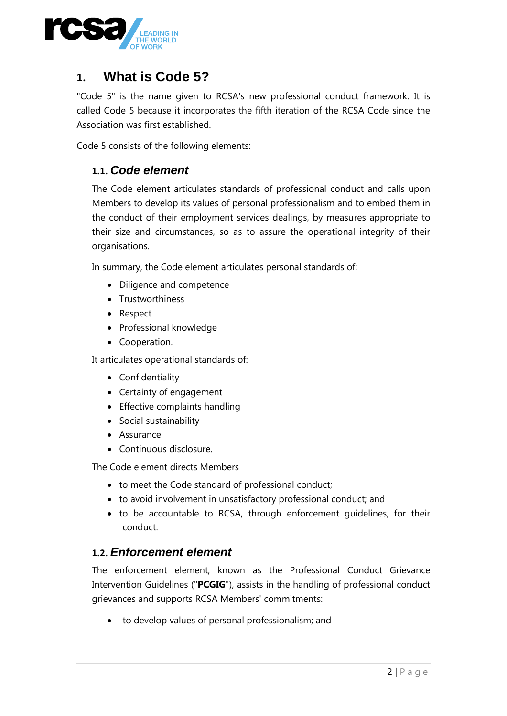<span id="page-1-0"></span>

## **1. What is Code 5?**

"Code 5" is the name given to RCSA's new professional conduct framework. It is called Code 5 because it incorporates the fifth iteration of the RCSA Code since the Association was first established.

<span id="page-1-1"></span>Code 5 consists of the following elements:

#### **1.1.** *Code element*

The Code element articulates standards of professional conduct and calls upon Members to develop its values of personal professionalism and to embed them in the conduct of their employment services dealings, by measures appropriate to their size and circumstances, so as to assure the operational integrity of their organisations.

In summary, the Code element articulates personal standards of:

- Diligence and competence
- Trustworthiness
- Respect
- Professional knowledge
- Cooperation.

It articulates operational standards of:

- Confidentiality
- Certainty of engagement
- Effective complaints handling
- Social sustainability
- **•** Assurance
- Continuous disclosure.

The Code element directs Members

- to meet the Code standard of professional conduct;
- <span id="page-1-2"></span>to avoid involvement in unsatisfactory professional conduct; and
- to be accountable to RCSA, through enforcement guidelines, for their conduct.

#### **1.2.** *Enforcement element*

The enforcement element, known as the Professional Conduct Grievance Intervention Guidelines ("**PCGIG**"), assists in the handling of professional conduct grievances and supports RCSA Members' commitments:

to develop values of personal professionalism; and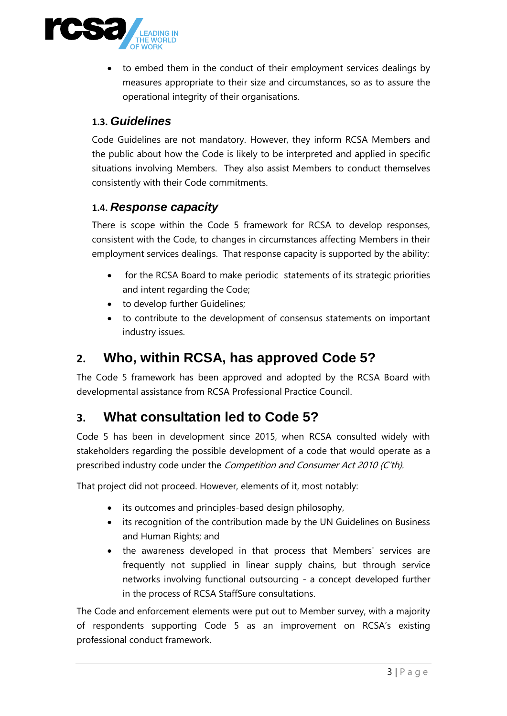

<span id="page-2-0"></span> to embed them in the conduct of their employment services dealings by measures appropriate to their size and circumstances, so as to assure the operational integrity of their organisations.

#### **1.3.** *Guidelines*

<span id="page-2-1"></span>Code Guidelines are not mandatory. However, they inform RCSA Members and the public about how the Code is likely to be interpreted and applied in specific situations involving Members. They also assist Members to conduct themselves consistently with their Code commitments.

#### **1.4.** *Response capacity*

There is scope within the Code 5 framework for RCSA to develop responses, consistent with the Code, to changes in circumstances affecting Members in their employment services dealings. That response capacity is supported by the ability:

- for the RCSA Board to make periodic statements of its strategic priorities and intent regarding the Code;
- <span id="page-2-2"></span>• to develop further Guidelines;
- to contribute to the development of consensus statements on important industry issues.

#### **2. Who, within RCSA, has approved Code 5?**

<span id="page-2-3"></span>The Code 5 framework has been approved and adopted by the RCSA Board with developmental assistance from RCSA Professional Practice Council.

## **3. What consultation led to Code 5?**

Code 5 has been in development since 2015, when RCSA consulted widely with stakeholders regarding the possible development of a code that would operate as a prescribed industry code under the Competition and Consumer Act 2010 (C'th).

That project did not proceed. However, elements of it, most notably:

- its outcomes and principles-based design philosophy,
- its recognition of the contribution made by the UN Guidelines on Business and Human Rights; and
- the awareness developed in that process that Members' services are frequently not supplied in linear supply chains, but through service networks involving functional outsourcing - a concept developed further in the process of RCSA StaffSure consultations.

The Code and enforcement elements were put out to Member survey, with a majority of respondents supporting Code 5 as an improvement on RCSA's existing professional conduct framework.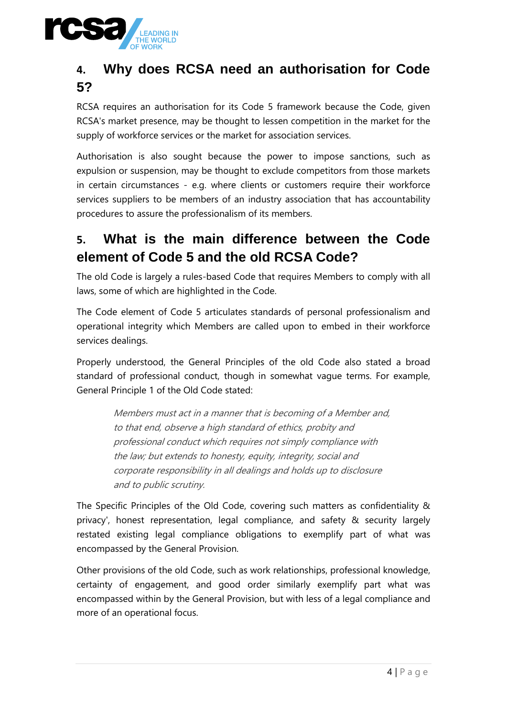<span id="page-3-0"></span>

# **4. Why does RCSA need an authorisation for Code 5?**

RCSA requires an authorisation for its Code 5 framework because the Code, given RCSA's market presence, may be thought to lessen competition in the market for the supply of workforce services or the market for association services.

<span id="page-3-1"></span>Authorisation is also sought because the power to impose sanctions, such as expulsion or suspension, may be thought to exclude competitors from those markets in certain circumstances - e.g. where clients or customers require their workforce services suppliers to be members of an industry association that has accountability procedures to assure the professionalism of its members.

## **5. What is the main difference between the Code element of Code 5 and the old RCSA Code?**

The old Code is largely a rules-based Code that requires Members to comply with all laws, some of which are highlighted in the Code.

The Code element of Code 5 articulates standards of personal professionalism and operational integrity which Members are called upon to embed in their workforce services dealings.

Properly understood, the General Principles of the old Code also stated a broad standard of professional conduct, though in somewhat vague terms. For example, General Principle 1 of the Old Code stated:

> Members must act in a manner that is becoming of a Member and, to that end, observe a high standard of ethics, probity and professional conduct which requires not simply compliance with the law; but extends to honesty, equity, integrity, social and corporate responsibility in all dealings and holds up to disclosure and to public scrutiny.

The Specific Principles of the Old Code, covering such matters as confidentiality & privacy', honest representation, legal compliance, and safety & security largely restated existing legal compliance obligations to exemplify part of what was encompassed by the General Provision.

Other provisions of the old Code, such as work relationships, professional knowledge, certainty of engagement, and good order similarly exemplify part what was encompassed within by the General Provision, but with less of a legal compliance and more of an operational focus.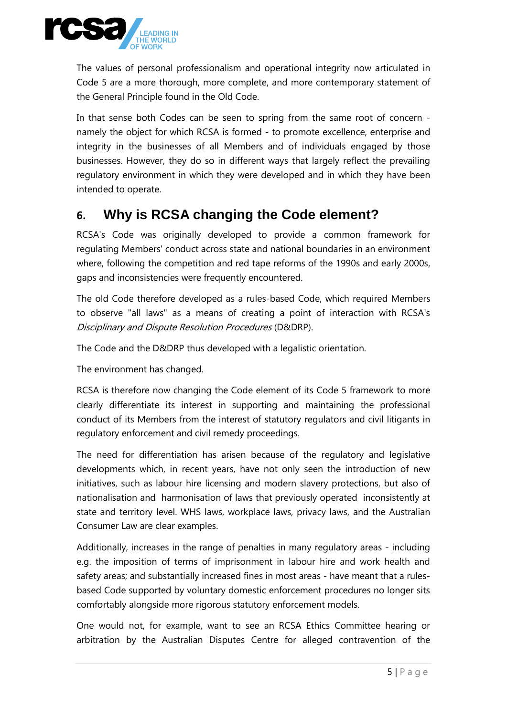

The values of personal professionalism and operational integrity now articulated in Code 5 are a more thorough, more complete, and more contemporary statement of the General Principle found in the Old Code.

In that sense both Codes can be seen to spring from the same root of concern namely the object for which RCSA is formed - to promote excellence, enterprise and integrity in the businesses of all Members and of individuals engaged by those businesses. However, they do so in different ways that largely reflect the prevailing regulatory environment in which they were developed and in which they have been intended to operate.

#### <span id="page-4-0"></span>**6. Why is RCSA changing the Code element?**

RCSA's Code was originally developed to provide a common framework for regulating Members' conduct across state and national boundaries in an environment where, following the competition and red tape reforms of the 1990s and early 2000s, gaps and inconsistencies were frequently encountered.

The old Code therefore developed as a rules-based Code, which required Members to observe "all laws" as a means of creating a point of interaction with RCSA's Disciplinary and Dispute Resolution Procedures (D&DRP).

The Code and the D&DRP thus developed with a legalistic orientation.

The environment has changed.

RCSA is therefore now changing the Code element of its Code 5 framework to more clearly differentiate its interest in supporting and maintaining the professional conduct of its Members from the interest of statutory regulators and civil litigants in regulatory enforcement and civil remedy proceedings.

The need for differentiation has arisen because of the regulatory and legislative developments which, in recent years, have not only seen the introduction of new initiatives, such as labour hire licensing and modern slavery protections, but also of nationalisation and harmonisation of laws that previously operated inconsistently at state and territory level. WHS laws, workplace laws, privacy laws, and the Australian Consumer Law are clear examples.

Additionally, increases in the range of penalties in many regulatory areas - including e.g. the imposition of terms of imprisonment in labour hire and work health and safety areas; and substantially increased fines in most areas - have meant that a rulesbased Code supported by voluntary domestic enforcement procedures no longer sits comfortably alongside more rigorous statutory enforcement models.

One would not, for example, want to see an RCSA Ethics Committee hearing or arbitration by the Australian Disputes Centre for alleged contravention of the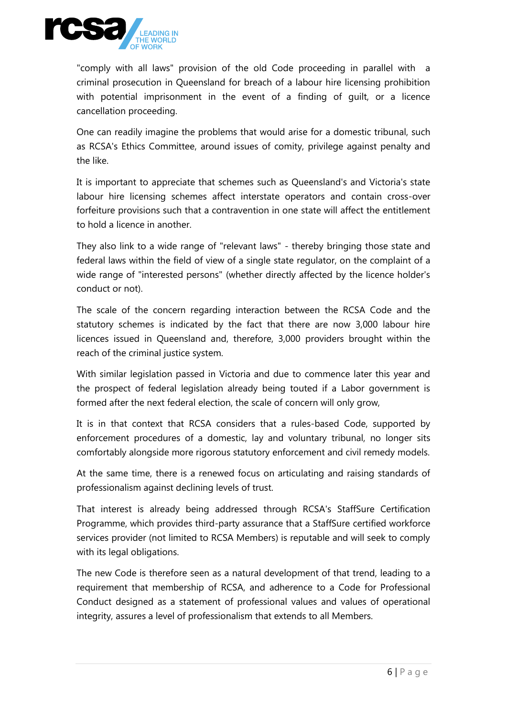

"comply with all laws" provision of the old Code proceeding in parallel with a criminal prosecution in Queensland for breach of a labour hire licensing prohibition with potential imprisonment in the event of a finding of guilt, or a licence cancellation proceeding.

One can readily imagine the problems that would arise for a domestic tribunal, such as RCSA's Ethics Committee, around issues of comity, privilege against penalty and the like.

It is important to appreciate that schemes such as Queensland's and Victoria's state labour hire licensing schemes affect interstate operators and contain cross-over forfeiture provisions such that a contravention in one state will affect the entitlement to hold a licence in another.

They also link to a wide range of "relevant laws" - thereby bringing those state and federal laws within the field of view of a single state regulator, on the complaint of a wide range of "interested persons" (whether directly affected by the licence holder's conduct or not).

The scale of the concern regarding interaction between the RCSA Code and the statutory schemes is indicated by the fact that there are now 3,000 labour hire licences issued in Queensland and, therefore, 3,000 providers brought within the reach of the criminal justice system.

With similar legislation passed in Victoria and due to commence later this year and the prospect of federal legislation already being touted if a Labor government is formed after the next federal election, the scale of concern will only grow,

It is in that context that RCSA considers that a rules-based Code, supported by enforcement procedures of a domestic, lay and voluntary tribunal, no longer sits comfortably alongside more rigorous statutory enforcement and civil remedy models.

At the same time, there is a renewed focus on articulating and raising standards of professionalism against declining levels of trust.

That interest is already being addressed through RCSA's StaffSure Certification Programme, which provides third-party assurance that a StaffSure certified workforce services provider (not limited to RCSA Members) is reputable and will seek to comply with its legal obligations.

The new Code is therefore seen as a natural development of that trend, leading to a requirement that membership of RCSA, and adherence to a Code for Professional Conduct designed as a statement of professional values and values of operational integrity, assures a level of professionalism that extends to all Members.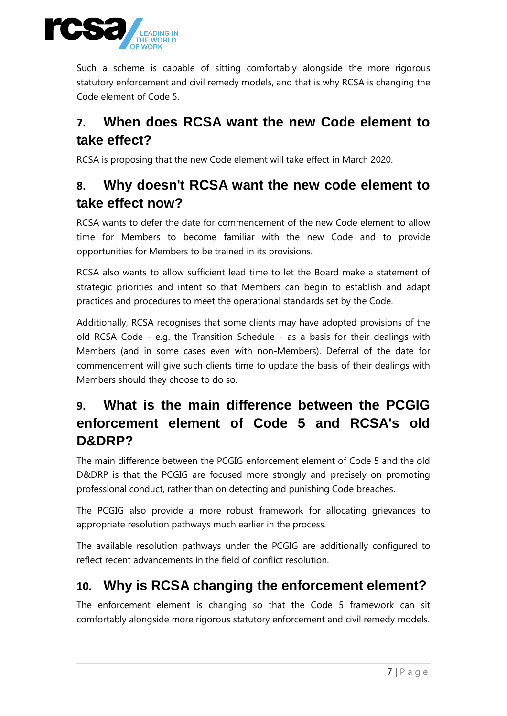

<span id="page-6-0"></span>Such a scheme is capable of sitting comfortably alongside the more rigorous statutory enforcement and civil remedy models, and that is why RCSA is changing the Code element of Code 5.

## <span id="page-6-1"></span>**7. When does RCSA want the new Code element to take effect?**

RCSA is proposing that the new Code element will take effect in March 2020.

## **8. Why doesn't RCSA want the new code element to take effect now?**

RCSA wants to defer the date for commencement of the new Code element to allow time for Members to become familiar with the new Code and to provide opportunities for Members to be trained in its provisions.

RCSA also wants to allow sufficient lead time to let the Board make a statement of strategic priorities and intent so that Members can begin to establish and adapt practices and procedures to meet the operational standards set by the Code.

<span id="page-6-2"></span>Additionally, RCSA recognises that some clients may have adopted provisions of the old RCSA Code - e.g. the Transition Schedule - as a basis for their dealings with Members (and in some cases even with non-Members). Deferral of the date for commencement will give such clients time to update the basis of their dealings with Members should they choose to do so.

# **9. What is the main difference between the PCGIG enforcement element of Code 5 and RCSA's old D&DRP?**

The main difference between the PCGIG enforcement element of Code 5 and the old D&DRP is that the PCGIG are focused more strongly and precisely on promoting professional conduct, rather than on detecting and punishing Code breaches.

The PCGIG also provide a more robust framework for allocating grievances to appropriate resolution pathways much earlier in the process.

<span id="page-6-3"></span>The available resolution pathways under the PCGIG are additionally configured to reflect recent advancements in the field of conflict resolution.

## **10. Why is RCSA changing the enforcement element?**

The enforcement element is changing so that the Code 5 framework can sit comfortably alongside more rigorous statutory enforcement and civil remedy models.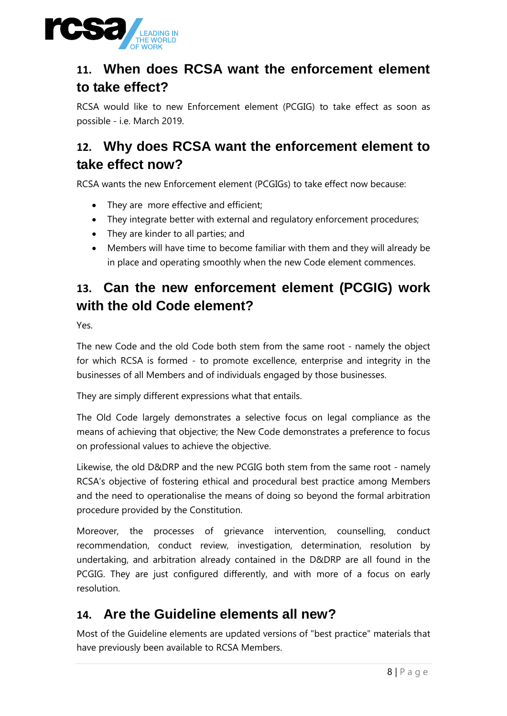<span id="page-7-0"></span>

# **11. When does RCSA want the enforcement element to take effect?**

<span id="page-7-1"></span>RCSA would like to new Enforcement element (PCGIG) to take effect as soon as possible - i.e. March 2019.

# **12. Why does RCSA want the enforcement element to take effect now?**

RCSA wants the new Enforcement element (PCGIGs) to take effect now because:

- They are more effective and efficient;
- They integrate better with external and regulatory enforcement procedures;
- <span id="page-7-2"></span>• They are kinder to all parties; and
- Members will have time to become familiar with them and they will already be in place and operating smoothly when the new Code element commences.

## **13. Can the new enforcement element (PCGIG) work with the old Code element?**

Yes.

The new Code and the old Code both stem from the same root - namely the object for which RCSA is formed - to promote excellence, enterprise and integrity in the businesses of all Members and of individuals engaged by those businesses.

They are simply different expressions what that entails.

The Old Code largely demonstrates a selective focus on legal compliance as the means of achieving that objective; the New Code demonstrates a preference to focus on professional values to achieve the objective.

Likewise, the old D&DRP and the new PCGIG both stem from the same root - namely RCSA's objective of fostering ethical and procedural best practice among Members and the need to operationalise the means of doing so beyond the formal arbitration procedure provided by the Constitution.

<span id="page-7-3"></span>Moreover, the processes of grievance intervention, counselling, conduct recommendation, conduct review, investigation, determination, resolution by undertaking, and arbitration already contained in the D&DRP are all found in the PCGIG. They are just configured differently, and with more of a focus on early resolution.

## **14. Are the Guideline elements all new?**

Most of the Guideline elements are updated versions of "best practice" materials that have previously been available to RCSA Members.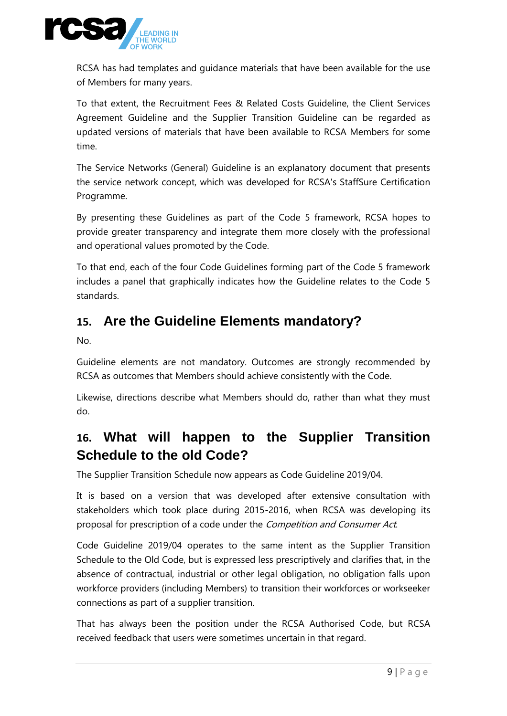

RCSA has had templates and guidance materials that have been available for the use of Members for many years.

To that extent, the Recruitment Fees & Related Costs Guideline, the Client Services Agreement Guideline and the Supplier Transition Guideline can be regarded as updated versions of materials that have been available to RCSA Members for some time.

The Service Networks (General) Guideline is an explanatory document that presents the service network concept, which was developed for RCSA's StaffSure Certification Programme.

By presenting these Guidelines as part of the Code 5 framework, RCSA hopes to provide greater transparency and integrate them more closely with the professional and operational values promoted by the Code.

<span id="page-8-0"></span>To that end, each of the four Code Guidelines forming part of the Code 5 framework includes a panel that graphically indicates how the Guideline relates to the Code 5 standards.

#### **15. Are the Guideline Elements mandatory?**

No.

Guideline elements are not mandatory. Outcomes are strongly recommended by RCSA as outcomes that Members should achieve consistently with the Code.

<span id="page-8-1"></span>Likewise, directions describe what Members should do, rather than what they must do.

## **16. What will happen to the Supplier Transition Schedule to the old Code?**

The Supplier Transition Schedule now appears as Code Guideline 2019/04.

It is based on a version that was developed after extensive consultation with stakeholders which took place during 2015-2016, when RCSA was developing its proposal for prescription of a code under the *Competition and Consumer Act*.

Code Guideline 2019/04 operates to the same intent as the Supplier Transition Schedule to the Old Code, but is expressed less prescriptively and clarifies that, in the absence of contractual, industrial or other legal obligation, no obligation falls upon workforce providers (including Members) to transition their workforces or workseeker connections as part of a supplier transition.

That has always been the position under the RCSA Authorised Code, but RCSA received feedback that users were sometimes uncertain in that regard.